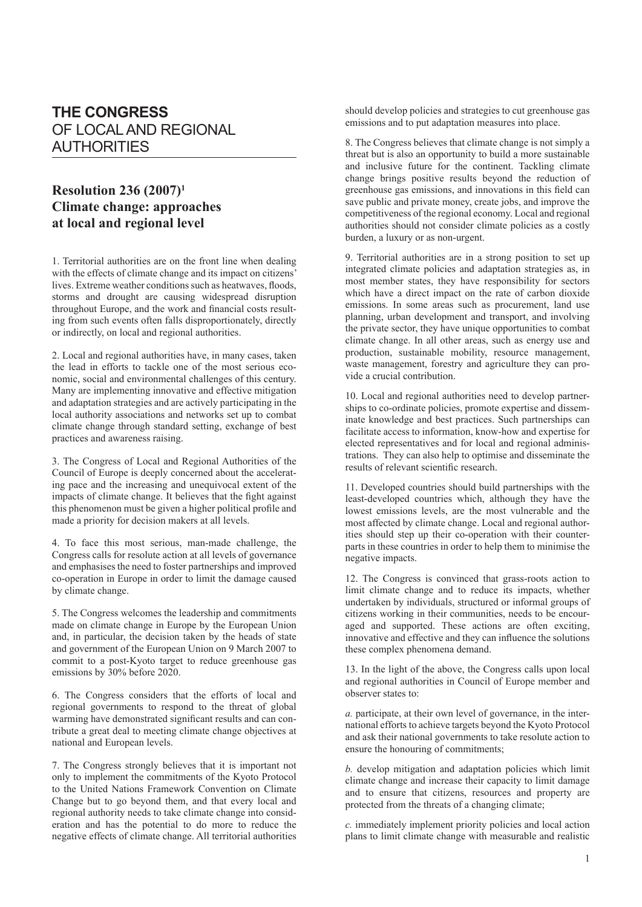## **THE CONGRESS** OF LOCAL AND REGIONAL **AUTHORITIES**

## **Resolution 236 (2007)1 Climate change: approaches at local and regional level**

1. Territorial authorities are on the front line when dealing with the effects of climate change and its impact on citizens' lives. Extreme weather conditions such as heatwaves, floods, storms and drought are causing widespread disruption throughout Europe, and the work and financial costs resulting from such events often falls disproportionately, directly or indirectly, on local and regional authorities.

2. Local and regional authorities have, in many cases, taken the lead in efforts to tackle one of the most serious economic, social and environmental challenges of this century. Many are implementing innovative and effective mitigation and adaptation strategies and are actively participating in the local authority associations and networks set up to combat climate change through standard setting, exchange of best practices and awareness raising.

3. The Congress of Local and Regional Authorities of the Council of Europe is deeply concerned about the accelerating pace and the increasing and unequivocal extent of the impacts of climate change. It believes that the fight against this phenomenon must be given a higher political profile and made a priority for decision makers at all levels.

4. To face this most serious, man-made challenge, the Congress calls for resolute action at all levels of governance and emphasises the need to foster partnerships and improved co-operation in Europe in order to limit the damage caused by climate change.

5. The Congress welcomes the leadership and commitments made on climate change in Europe by the European Union and, in particular, the decision taken by the heads of state and government of the European Union on 9 March 2007 to commit to a post-Kyoto target to reduce greenhouse gas emissions by 30% before 2020.

6. The Congress considers that the efforts of local and regional governments to respond to the threat of global warming have demonstrated significant results and can contribute a great deal to meeting climate change objectives at national and European levels.

7. The Congress strongly believes that it is important not only to implement the commitments of the Kyoto Protocol to the United Nations Framework Convention on Climate Change but to go beyond them, and that every local and regional authority needs to take climate change into consideration and has the potential to do more to reduce the negative effects of climate change. All territorial authorities should develop policies and strategies to cut greenhouse gas emissions and to put adaptation measures into place.

8. The Congress believes that climate change is not simply a threat but is also an opportunity to build a more sustainable and inclusive future for the continent. Tackling climate change brings positive results beyond the reduction of greenhouse gas emissions, and innovations in this field can save public and private money, create jobs, and improve the competitiveness of the regional economy. Local and regional authorities should not consider climate policies as a costly burden, a luxury or as non-urgent.

9. Territorial authorities are in a strong position to set up integrated climate policies and adaptation strategies as, in most member states, they have responsibility for sectors which have a direct impact on the rate of carbon dioxide emissions. In some areas such as procurement, land use planning, urban development and transport, and involving the private sector, they have unique opportunities to combat climate change. In all other areas, such as energy use and production, sustainable mobility, resource management, waste management, forestry and agriculture they can provide a crucial contribution.

10. Local and regional authorities need to develop partnerships to co-ordinate policies, promote expertise and disseminate knowledge and best practices. Such partnerships can facilitate access to information, know-how and expertise for elected representatives and for local and regional administrations. They can also help to optimise and disseminate the results of relevant scientific research.

11. Developed countries should build partnerships with the least-developed countries which, although they have the lowest emissions levels, are the most vulnerable and the most affected by climate change. Local and regional authorities should step up their co-operation with their counterparts in these countries in order to help them to minimise the negative impacts.

12. The Congress is convinced that grass-roots action to limit climate change and to reduce its impacts, whether undertaken by individuals, structured or informal groups of citizens working in their communities, needs to be encouraged and supported. These actions are often exciting, innovative and effective and they can influence the solutions these complex phenomena demand.

13. In the light of the above, the Congress calls upon local and regional authorities in Council of Europe member and observer states to:

*a.* participate, at their own level of governance, in the international efforts to achieve targets beyond the Kyoto Protocol and ask their national governments to take resolute action to ensure the honouring of commitments;

*b.* develop mitigation and adaptation policies which limit climate change and increase their capacity to limit damage and to ensure that citizens, resources and property are protected from the threats of a changing climate;

*c.* immediately implement priority policies and local action plans to limit climate change with measurable and realistic